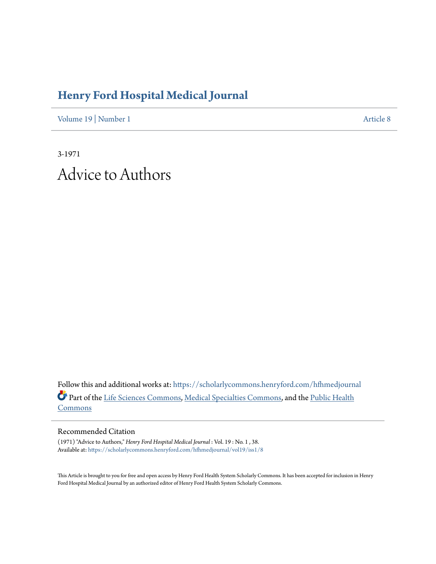## **[Henry Ford Hospital Medical Journal](https://scholarlycommons.henryford.com/hfhmedjournal?utm_source=scholarlycommons.henryford.com%2Fhfhmedjournal%2Fvol19%2Fiss1%2F8&utm_medium=PDF&utm_campaign=PDFCoverPages)**

[Volume 19](https://scholarlycommons.henryford.com/hfhmedjournal/vol19?utm_source=scholarlycommons.henryford.com%2Fhfhmedjournal%2Fvol19%2Fiss1%2F8&utm_medium=PDF&utm_campaign=PDFCoverPages) | [Number 1](https://scholarlycommons.henryford.com/hfhmedjournal/vol19/iss1?utm_source=scholarlycommons.henryford.com%2Fhfhmedjournal%2Fvol19%2Fiss1%2F8&utm_medium=PDF&utm_campaign=PDFCoverPages) [Article 8](https://scholarlycommons.henryford.com/hfhmedjournal/vol19/iss1/8?utm_source=scholarlycommons.henryford.com%2Fhfhmedjournal%2Fvol19%2Fiss1%2F8&utm_medium=PDF&utm_campaign=PDFCoverPages)

3-1971 Advice to Authors

Follow this and additional works at: [https://scholarlycommons.henryford.com/hfhmedjournal](https://scholarlycommons.henryford.com/hfhmedjournal?utm_source=scholarlycommons.henryford.com%2Fhfhmedjournal%2Fvol19%2Fiss1%2F8&utm_medium=PDF&utm_campaign=PDFCoverPages) Part of the [Life Sciences Commons](http://network.bepress.com/hgg/discipline/1016?utm_source=scholarlycommons.henryford.com%2Fhfhmedjournal%2Fvol19%2Fiss1%2F8&utm_medium=PDF&utm_campaign=PDFCoverPages), [Medical Specialties Commons](http://network.bepress.com/hgg/discipline/680?utm_source=scholarlycommons.henryford.com%2Fhfhmedjournal%2Fvol19%2Fiss1%2F8&utm_medium=PDF&utm_campaign=PDFCoverPages), and the [Public Health](http://network.bepress.com/hgg/discipline/738?utm_source=scholarlycommons.henryford.com%2Fhfhmedjournal%2Fvol19%2Fiss1%2F8&utm_medium=PDF&utm_campaign=PDFCoverPages) [Commons](http://network.bepress.com/hgg/discipline/738?utm_source=scholarlycommons.henryford.com%2Fhfhmedjournal%2Fvol19%2Fiss1%2F8&utm_medium=PDF&utm_campaign=PDFCoverPages)

## Recommended Citation

(1971) "Advice to Authors," *Henry Ford Hospital Medical Journal* : Vol. 19 : No. 1 , 38. Available at: [https://scholarlycommons.henryford.com/hfhmedjournal/vol19/iss1/8](https://scholarlycommons.henryford.com/hfhmedjournal/vol19/iss1/8?utm_source=scholarlycommons.henryford.com%2Fhfhmedjournal%2Fvol19%2Fiss1%2F8&utm_medium=PDF&utm_campaign=PDFCoverPages)

This Article is brought to you for free and open access by Henry Ford Health System Scholarly Commons. It has been accepted for inclusion in Henry Ford Hospital Medical Journal by an authorized editor of Henry Ford Health System Scholarly Commons.